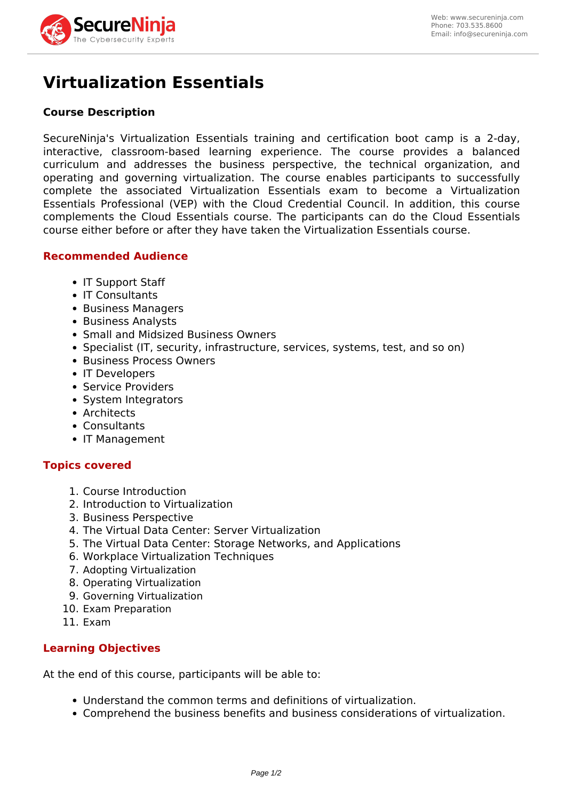

# **Virtualization Essentials**

## **Course Description**

SecureNinja's Virtualization Essentials training and certification boot camp is a 2-day, interactive, classroom-based learning experience. The course provides a balanced curriculum and addresses the business perspective, the technical organization, and operating and governing virtualization. The course enables participants to successfully complete the associated Virtualization Essentials exam to become a Virtualization Essentials Professional (VEP) with the Cloud Credential Council. In addition, this course complements the Cloud Essentials course. The participants can do the Cloud Essentials course either before or after they have taken the Virtualization Essentials course.

## **Recommended Audience**

- IT Support Staff
- IT Consultants
- Business Managers
- Business Analysts
- Small and Midsized Business Owners
- Specialist (IT, security, infrastructure, services, systems, test, and so on)
- Business Process Owners
- IT Developers
- Service Providers
- System Integrators
- Architects
- Consultants
- IT Management

## **Topics covered**

- 1. Course Introduction
- 2. Introduction to Virtualization
- 3. Business Perspective
- 4. The Virtual Data Center: Server Virtualization
- 5. The Virtual Data Center: Storage Networks, and Applications
- 6. Workplace Virtualization Techniques
- 7. Adopting Virtualization
- 8. Operating Virtualization
- 9. Governing Virtualization
- 10. Exam Preparation
- 11. Exam

## **Learning Objectives**

At the end of this course, participants will be able to:

- Understand the common terms and definitions of virtualization.
- Comprehend the business benefits and business considerations of virtualization.